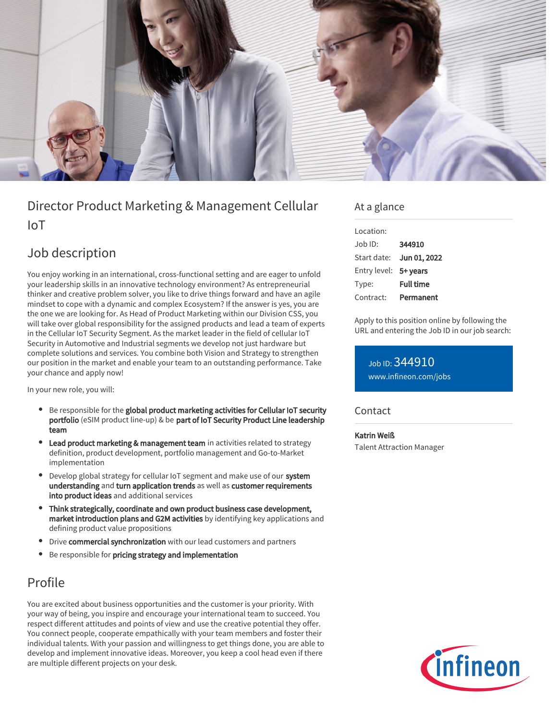

# Director Product Marketing & Management Cellular IoT

# Job description

You enjoy working in an international, cross-functional setting and are eager to unfold your leadership skills in an innovative technology environment? As entrepreneurial thinker and creative problem solver, you like to drive things forward and have an agile mindset to cope with a dynamic and complex Ecosystem? If the answer is yes, you are the one we are looking for. As Head of Product Marketing within our Division CSS, you will take over global responsibility for the assigned products and lead a team of experts in the Cellular IoT Security Segment. As the market leader in the field of cellular IoT Security in Automotive and Industrial segments we develop not just hardware but complete solutions and services. You combine both Vision and Strategy to strengthen our position in the market and enable your team to an outstanding performance. Take your chance and apply now!

In your new role, you will:

- Be responsible for the global product marketing activities for Cellular IoT security portfolio (eSIM product line-up) & be part of IoT Security Product Line leadership team
- Lead product marketing & management team in activities related to strategy definition, product development, portfolio management and Go-to-Market implementation
- Develop global strategy for cellular IoT segment and make use of our system understanding and turn application trends as well as customer requirements into product ideas and additional services
- Think strategically, coordinate and own product business case development, market introduction plans and G2M activities by identifying key applications and defining product value propositions
- **•** Drive commercial synchronization with our lead customers and partners
- Be responsible for pricing strategy and implementation

## Profile

You are excited about business opportunities and the customer is your priority. With your way of being, you inspire and encourage your international team to succeed. You respect different attitudes and points of view and use the creative potential they offer. You connect people, cooperate empathically with your team members and foster their individual talents. With your passion and willingness to get things done, you are able to develop and implement innovative ideas. Moreover, you keep a cool head even if there are multiple different projects on your desk.

## At a glance

| Location:             |                  |
|-----------------------|------------------|
| Job ID:               | 344910           |
| Start date:           | Jun 01, 2022     |
| Entry level: 5+ years |                  |
| Type:                 | <b>Full time</b> |
| Contract:             | Permanent        |

Apply to this position online by following the URL and entering the Job ID in our job search:

Job ID: 344910 [www.infineon.com/jobs](https://www.infineon.com/jobs)

### **Contact**

#### Katrin Weiß

Talent Attraction Manager